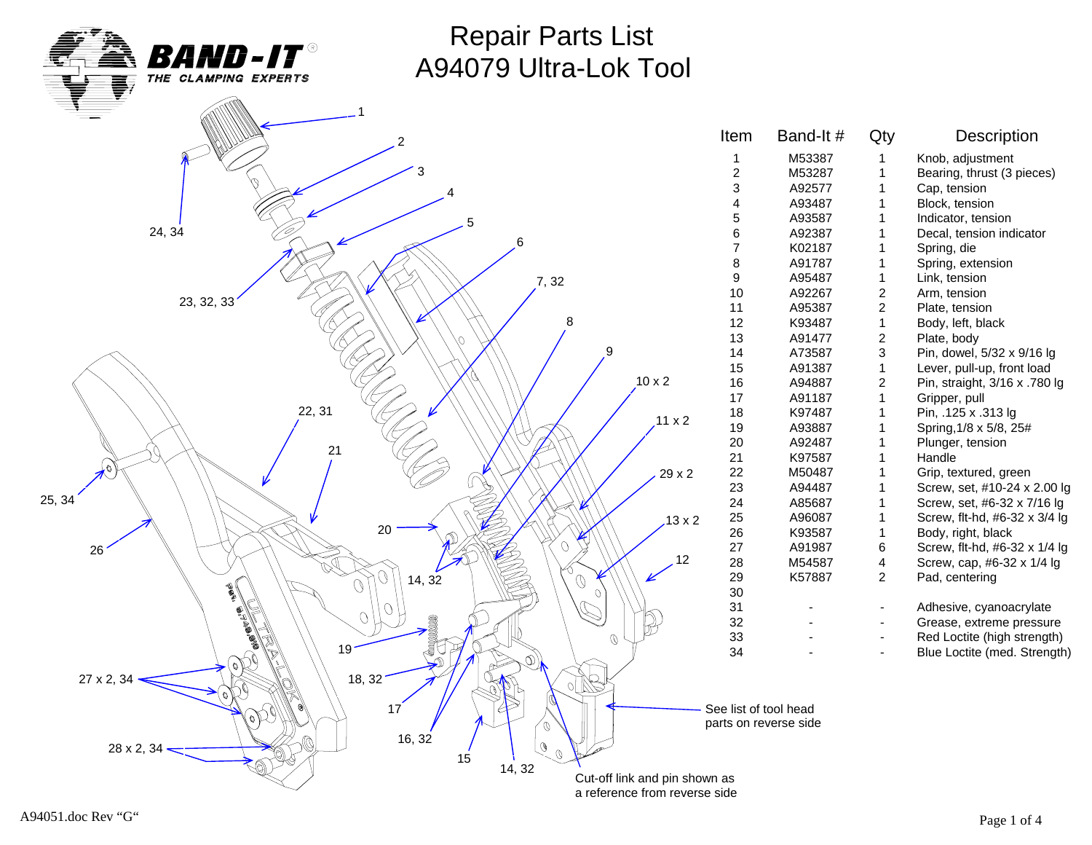

Repair Parts List A94079 Ultra-Lok Tool

|                                                            | Item                  | Band-It#              | Qty            | Description               |
|------------------------------------------------------------|-----------------------|-----------------------|----------------|---------------------------|
|                                                            | 1                     | M53387                | $\mathbf{1}$   | Knob, adjustment          |
|                                                            | $\overline{c}$        | M53287                | $\mathbf{1}$   | Bearing, thrust (3 piec   |
|                                                            | 3                     | A92577                | $\mathbf 1$    | Cap, tension              |
|                                                            | 4                     | A93487                | $\mathbf{1}$   | Block, tension            |
| 5                                                          | 5                     | A93587                | 1              | Indicator, tension        |
| 24, 34<br>6                                                | 6                     | A92387                | $\mathbf{1}$   | Decal, tension indicato   |
|                                                            | $\overline{7}$        | K02187                | 1              | Spring, die               |
|                                                            | 8                     | A91787                | 1              | Spring, extension         |
| 7,32                                                       | 9                     | A95487                | $\mathbf{1}$   | Link, tension             |
|                                                            | 10                    | A92267                | $\overline{2}$ | Arm, tension              |
| 23, 32, 33                                                 | 11                    | A95387                | $\overline{a}$ | Plate, tension            |
| 8                                                          | 12                    | K93487                | $\mathbf{1}$   | Body, left, black         |
|                                                            | 13                    | A91477                | $\overline{a}$ | Plate, body               |
| 9                                                          | 14                    | A73587                | 3              | Pin, dowel, 5/32 x 9/16   |
|                                                            | 15                    | A91387                | $\mathbf{1}$   | Lever, pull-up, front loa |
| $10 \times 2$                                              | 16                    | A94887                | $\overline{2}$ | Pin, straight, 3/16 x .78 |
|                                                            | 17                    | A91187                | $\mathbf{1}$   | Gripper, pull             |
| 22, 31                                                     | $18$                  | K97487                | $\mathbf{1}$   | Pin, .125 x .313 lg       |
| $.11 \times 2$                                             | 19                    | A93887                | $\mathbf{1}$   | Spring, 1/8 x 5/8, 25#    |
|                                                            | $20\,$                | A92487                | $\mathbf{1}$   | Plunger, tension          |
| 21                                                         | 21                    | K97587                | $\mathbf{1}$   | Handle                    |
| L6.<br>$29\times 2$                                        | 22                    | M50487                | 1              | Grip, textured, green     |
|                                                            | 23                    | A94487                | 1              | Screw, set, #10-24 x 2    |
| 25, 34                                                     | 24                    | A85687                | $\mathbf{1}$   | Screw, set, #6-32 x 7/    |
| $13 \times 2$                                              | 25                    | A96087                | $\mathbf{1}$   | Screw, flt-hd, #6-32 x 3  |
| 20                                                         | 26                    | K93587                | $\mathbf 1$    | Body, right, black        |
| Ω<br>$26\,$                                                | 27                    | A91987                | 6              | Screw, flt-hd, #6-32 x    |
| 12                                                         | 28                    | M54587                | 4              | Screw, cap, #6-32 x 1/    |
| 14, 32<br>$\mathcal{O}$                                    | 29                    | K57887                | $\overline{2}$ | Pad, centering            |
| Q<br>$\overline{O}$                                        | 30                    |                       |                |                           |
| $\Omega$                                                   | 31                    |                       |                | Adhesive, cyanoacryla     |
| $\overline{O}$                                             | 32                    |                       |                | Grease, extreme press     |
| $\emptyset$                                                | 33                    |                       | $\blacksquare$ | Red Loctite (high strer   |
| id<br>Na<br>19 <sup>1</sup><br>$\left( \mathcal{O}\right)$ | 34                    |                       |                | Blue Loctite (med. Stre   |
|                                                            |                       |                       |                |                           |
| 18, 32<br>27 x 2, 34                                       |                       |                       |                |                           |
|                                                            |                       |                       |                |                           |
| 17<br>e)                                                   | See list of tool head |                       |                |                           |
| Ø                                                          |                       | parts on reverse side |                |                           |
| 16, 32<br>$\mathcal{O}$<br>28 x 2, 34                      |                       |                       |                |                           |
| $\mathcal{O}$<br>15                                        |                       |                       |                |                           |
| 14, 32<br>Cut-off link and pin shown as                    |                       |                       |                |                           |
| a reference from reverse side                              |                       |                       |                |                           |

M53387 1 Knob, adjustment M53287 1 Bearing, thrust (3 pieces) A92577 1 Cap, tension A93487 1 Block, tension A93587 1 Indicator, tension 6 A92387 1 Decal, tension indicator K02187 1 Spring, die A91787 1 Spring, extension A95487 1 Link, tension A92267 2 Arm, tension A95387 2 Plate, tension K93487 1 Body, left, black A91477 2 Plate, body A73587 3 Pin, dowel, 5/32 x 9/16 lg 1 Lever, pull-up, front load<br>15 A94887 2 Pin. straight. 3/16 x .780 16 A94887 2 Pin, straight, 3/16 x .780 lg A91187 1 Gripper, pull K97487 1 Pin, .125 x .313 lg A93887 1 Spring, 1/8 x 5/8, 25# A92487 1 Plunger, tension 21 K97587 1 Handle M50487 1 Grip, textured, green A94487 1 Screw, set, #10-24 x 2.00 lg A85687 1 Screw, set, #6-32 x 7/16 lg A96087 1 Screw, flt-hd, #6-32 x 3/4 lg K93587 1 Body, right, black 27 A91987 6 Screw, flt-hd, #6-32 x 1/4 lg M54587 4 Screw, cap, #6-32 x 1/4 lg K57887 2 Pad, centering - The State Holdenburg Adhesive, cyanoacrylate - The Grease, extreme pressure - **333 - Red Loctite (high strength)** <sup>2</sup> - Blue Loctite (med. Strength)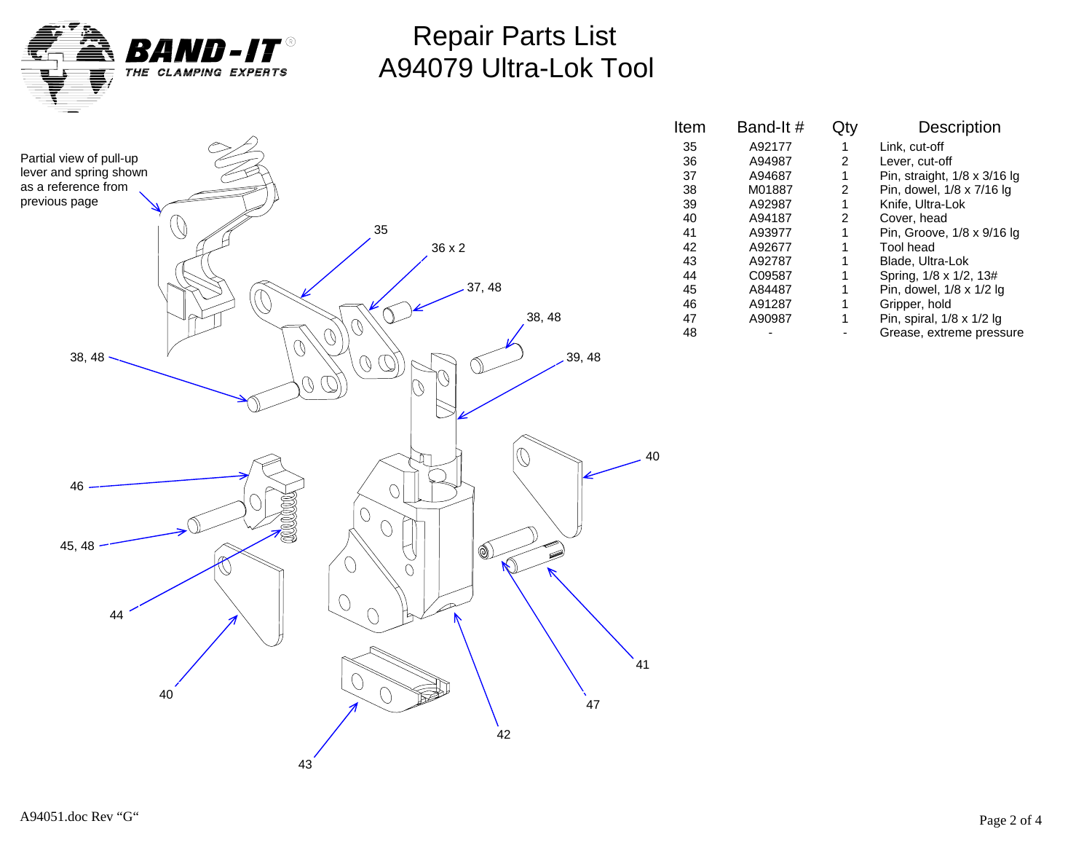

### Repair Parts List A94079 Ultra-Lok Tool



| ltem | Band-It# |   | Description                      |
|------|----------|---|----------------------------------|
| 35   | A92177   |   | Link, cut-off                    |
| 36   | A94987   | 2 | Lever, cut-off                   |
| 37   | A94687   | 1 | Pin, straight, 1/8 x 3/16 lg     |
| 38   | M01887   | 2 | Pin, dowel, 1/8 x 7/16 lg        |
| 39   | A92987   | 1 | Knife, Ultra-Lok                 |
| 40   | A94187   | 2 | Cover, head                      |
| 41   | A93977   |   | Pin, Groove, 1/8 x 9/16 lg       |
| 42   | A92677   |   | Tool head                        |
| 43   | A92787   |   | Blade, Ultra-Lok                 |
| 44   | C09587   |   | Spring, 1/8 x 1/2, 13#           |
| 45   | A84487   |   | Pin, dowel, 1/8 x 1/2 lg         |
| 46   | A91287   |   | Gripper, hold                    |
| 47   | A90987   |   | Pin, spiral, $1/8 \times 1/2$ lg |
| 48   |          |   | Grease, extreme pressure         |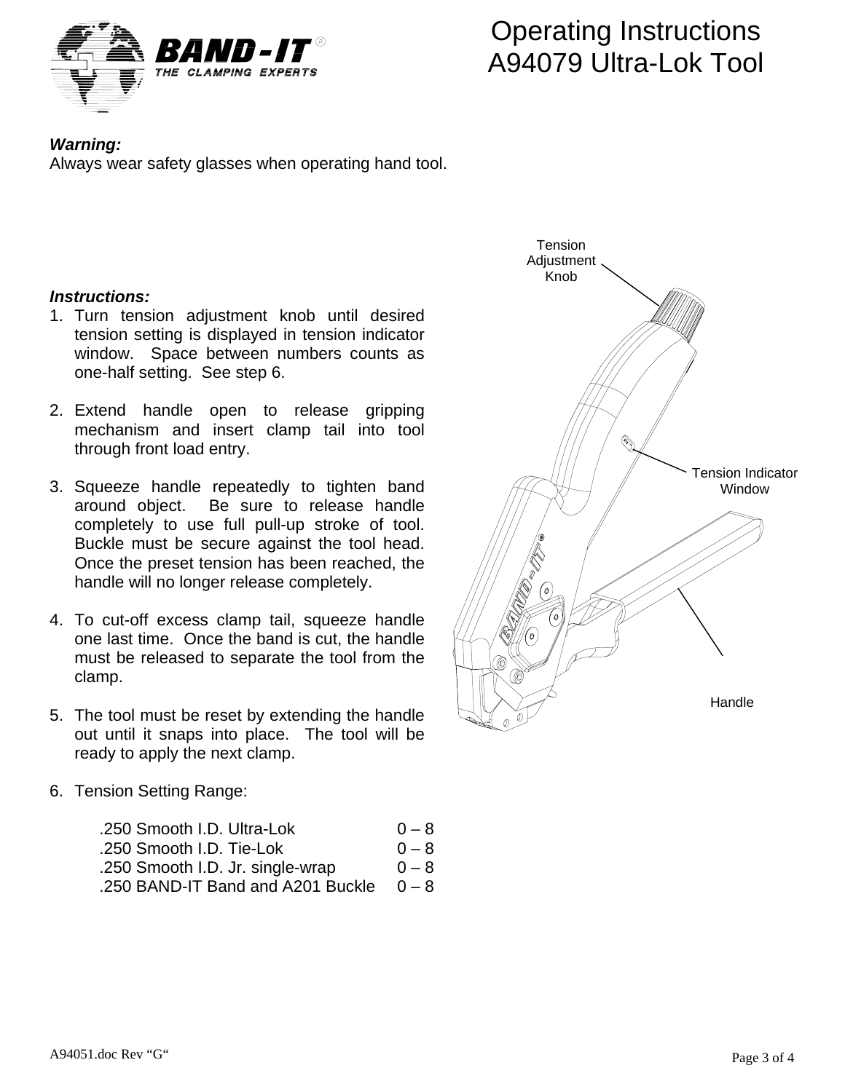

# Operating Instructions A94079 Ultra-Lok Tool

### *Warning:*

Always wear safety glasses when operating hand tool.

#### *Instructions:*

- 1. Turn tension adjustment knob until desired tension setting is displayed in tension indicator window. Space between numbers counts as one-half setting. See step 6.
- 2. Extend handle open to release gripping mechanism and insert clamp tail into tool through front load entry.
- 3. Squeeze handle repeatedly to tighten band around object. Be sure to release handle completely to use full pull-up stroke of tool. Buckle must be secure against the tool head. Once the preset tension has been reached, the handle will no longer release completely.
- 4. To cut-off excess clamp tail, squeeze handle one last time. Once the band is cut, the handle must be released to separate the tool from the clamp.
- 5. The tool must be reset by extending the handle out until it snaps into place. The tool will be ready to apply the next clamp.

#### 6. Tension Setting Range:

| .250 Smooth I.D. Ultra-Lok        | $0 - 8$ |
|-----------------------------------|---------|
| .250 Smooth I.D. Tie-Lok          | $0 - 8$ |
| .250 Smooth I.D. Jr. single-wrap  | $0 - 8$ |
| .250 BAND-IT Band and A201 Buckle | $0 - 8$ |
|                                   |         |